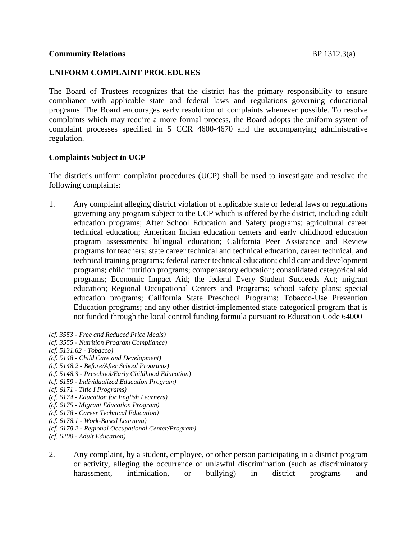#### **UNIFORM COMPLAINT PROCEDURES**

The Board of Trustees recognizes that the district has the primary responsibility to ensure compliance with applicable state and federal laws and regulations governing educational programs. The Board encourages early resolution of complaints whenever possible. To resolve complaints which may require a more formal process, the Board adopts the uniform system of complaint processes specified in 5 CCR 4600-4670 and the accompanying administrative regulation.

### **Complaints Subject to UCP**

The district's uniform complaint procedures (UCP) shall be used to investigate and resolve the following complaints:

- 1. Any complaint alleging district violation of applicable state or federal laws or regulations governing any program subject to the UCP which is offered by the district, including adult education programs; After School Education and Safety programs; agricultural career technical education; American Indian education centers and early childhood education program assessments; bilingual education; California Peer Assistance and Review programs for teachers; state career technical and technical education, career technical, and technical training programs; federal career technical education; child care and development programs; child nutrition programs; compensatory education; consolidated categorical aid programs; Economic Impact Aid; the federal Every Student Succeeds Act; migrant education; Regional Occupational Centers and Programs; school safety plans; special education programs; California State Preschool Programs; Tobacco-Use Prevention Education programs; and any other district-implemented state categorical program that is not funded through the local control funding formula pursuant to Education Code 64000
- *(cf. 3553 - Free and Reduced Price Meals)*
- *(cf. 3555 - Nutrition Program Compliance)*
- *(cf. 5131.62 - Tobacco)*
- *(cf. 5148 - Child Care and Development)*
- *(cf. 5148.2 - Before/After School Programs)*
- *(cf. 5148.3 - Preschool/Early Childhood Education)*
- *(cf. 6159 - Individualized Education Program)*
- *(cf. 6171 - Title I Programs)*
- *(cf. 6174 - Education for English Learners)*
- *(cf. 6175 - Migrant Education Program)*
- *(cf. 6178 - Career Technical Education)*
- *(cf. 6178.1 - Work-Based Learning)*
- *(cf. 6178.2 - Regional Occupational Center/Program)*
- *(cf. 6200 - Adult Education)*
- 2. Any complaint, by a student, employee, or other person participating in a district program or activity, alleging the occurrence of unlawful discrimination (such as discriminatory harassment, intimidation, or bullying) in district programs and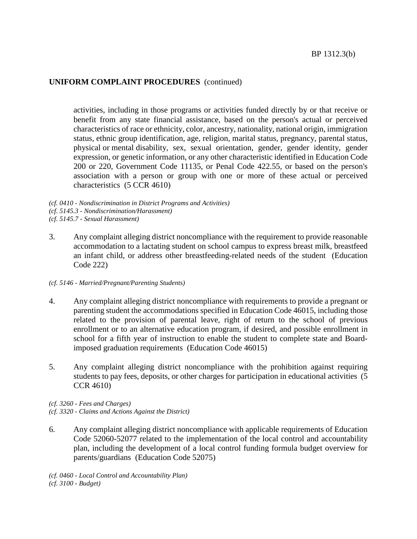activities, including in those programs or activities funded directly by or that receive or benefit from any state financial assistance, based on the person's actual or perceived characteristics of race or ethnicity, color, ancestry, nationality, national origin, immigration status, ethnic group identification, age, religion, marital status, pregnancy, parental status, physical or mental disability, sex, sexual orientation, gender, gender identity, gender expression, or genetic information, or any other characteristic identified in Education Code 200 or 220, Government Code 11135, or Penal Code 422.55, or based on the person's association with a person or group with one or more of these actual or perceived characteristics (5 CCR 4610)

- *(cf. 0410 - Nondiscrimination in District Programs and Activities) (cf. 5145.3 - Nondiscrimination/Harassment)*
- *(cf. 5145.7 - Sexual Harassment)*
- 3. Any complaint alleging district noncompliance with the requirement to provide reasonable accommodation to a lactating student on school campus to express breast milk, breastfeed an infant child, or address other breastfeeding-related needs of the student (Education Code 222)

#### *(cf. 5146 - Married/Pregnant/Parenting Students)*

- 4. Any complaint alleging district noncompliance with requirements to provide a pregnant or parenting student the accommodations specified in Education Code 46015, including those related to the provision of parental leave, right of return to the school of previous enrollment or to an alternative education program, if desired, and possible enrollment in school for a fifth year of instruction to enable the student to complete state and Boardimposed graduation requirements (Education Code 46015)
- 5. Any complaint alleging district noncompliance with the prohibition against requiring students to pay fees, deposits, or other charges for participation in educational activities (5 CCR 4610)
- *(cf. 3260 - Fees and Charges)*
- *(cf. 3320 - Claims and Actions Against the District)*
- 6. Any complaint alleging district noncompliance with applicable requirements of Education Code 52060-52077 related to the implementation of the local control and accountability plan, including the development of a local control funding formula budget overview for parents/guardians (Education Code 52075)

*(cf. 0460 - Local Control and Accountability Plan) (cf. 3100 - Budget)*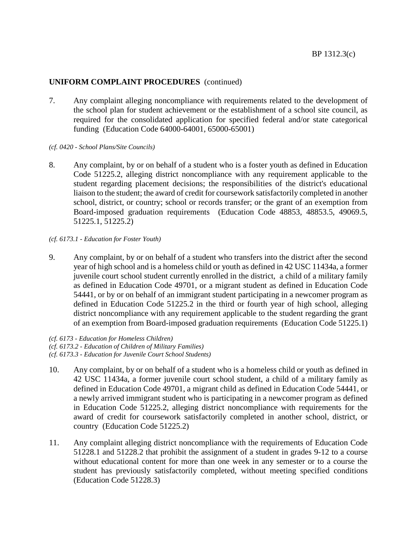- 7. Any complaint alleging noncompliance with requirements related to the development of the school plan for student achievement or the establishment of a school site council, as required for the consolidated application for specified federal and/or state categorical funding (Education Code 64000-64001, 65000-65001)
- *(cf. 0420 - School Plans/Site Councils)*
- 8. Any complaint, by or on behalf of a student who is a foster youth as defined in Education Code 51225.2, alleging district noncompliance with any requirement applicable to the student regarding placement decisions; the responsibilities of the district's educational liaison to the student; the award of credit for coursework satisfactorily completed in another school, district, or country; school or records transfer; or the grant of an exemption from Board-imposed graduation requirements (Education Code 48853, 48853.5, 49069.5, 51225.1, 51225.2)

#### *(cf. 6173.1 - Education for Foster Youth)*

9. Any complaint, by or on behalf of a student who transfers into the district after the second year of high school and is a homeless child or youth as defined in 42 USC 11434a, a former juvenile court school student currently enrolled in the district, a child of a military family as defined in Education Code 49701, or a migrant student as defined in Education Code 54441, or by or on behalf of an immigrant student participating in a newcomer program as defined in Education Code 51225.2 in the third or fourth year of high school, alleging district noncompliance with any requirement applicable to the student regarding the grant of an exemption from Board-imposed graduation requirements (Education Code 51225.1)

*(cf. 6173 - Education for Homeless Children) (cf. 6173.2 - Education of Children of Military Families)*

*(cf. 6173.3 - Education for Juvenile Court School Students)*

- 10. Any complaint, by or on behalf of a student who is a homeless child or youth as defined in 42 USC 11434a, a former juvenile court school student, a child of a military family as defined in Education Code 49701, a migrant child as defined in Education Code 54441, or a newly arrived immigrant student who is participating in a newcomer program as defined in Education Code 51225.2, alleging district noncompliance with requirements for the award of credit for coursework satisfactorily completed in another school, district, or country (Education Code 51225.2)
- 11. Any complaint alleging district noncompliance with the requirements of Education Code 51228.1 and 51228.2 that prohibit the assignment of a student in grades 9-12 to a course without educational content for more than one week in any semester or to a course the student has previously satisfactorily completed, without meeting specified conditions (Education Code 51228.3)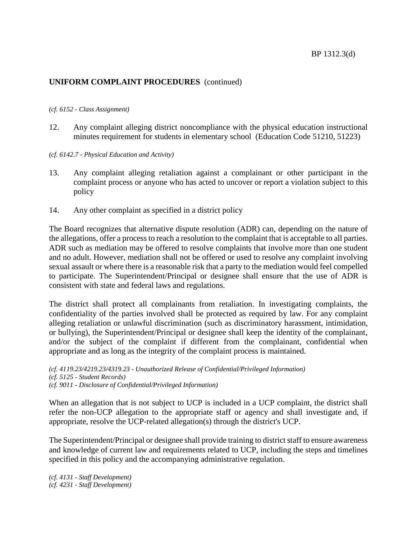#### *(cf. 6152 - Class Assignment)*

- 12. Any complaint alleging district noncompliance with the physical education instructional minutes requirement for students in elementary school (Education Code 51210, 51223)
- *(cf. 6142.7 - Physical Education and Activity)*
- 13. Any complaint alleging retaliation against a complainant or other participant in the complaint process or anyone who has acted to uncover or report a violation subject to this policy
- 14. Any other complaint as specified in a district policy

The Board recognizes that alternative dispute resolution (ADR) can, depending on the nature of the allegations, offer a process to reach a resolution to the complaint that is acceptable to all parties. ADR such as mediation may be offered to resolve complaints that involve more than one student and no adult. However, mediation shall not be offered or used to resolve any complaint involving sexual assault or where there is a reasonable risk that a party to the mediation would feel compelled to participate. The Superintendent/Principal or designee shall ensure that the use of ADR is consistent with state and federal laws and regulations.

The district shall protect all complainants from retaliation. In investigating complaints, the confidentiality of the parties involved shall be protected as required by law. For any complaint alleging retaliation or unlawful discrimination (such as discriminatory harassment, intimidation, or bullying), the Superintendent/Principal or designee shall keep the identity of the complainant, and/or the subject of the complaint if different from the complainant, confidential when appropriate and as long as the integrity of the complaint process is maintained.

*(cf. 4119.23/4219.23/4319.23 - Unauthorized Release of Confidential/Privileged Information) (cf. 5125 - Student Records) (cf. 9011 - Disclosure of Confidential/Privileged Information)*

When an allegation that is not subject to UCP is included in a UCP complaint, the district shall refer the non-UCP allegation to the appropriate staff or agency and shall investigate and, if appropriate, resolve the UCP-related allegation(s) through the district's UCP.

The Superintendent/Principal or designee shall provide training to district staff to ensure awareness and knowledge of current law and requirements related to UCP, including the steps and timelines specified in this policy and the accompanying administrative regulation.

*(cf. 4131 - Staff Development) (cf. 4231 - Staff Development)*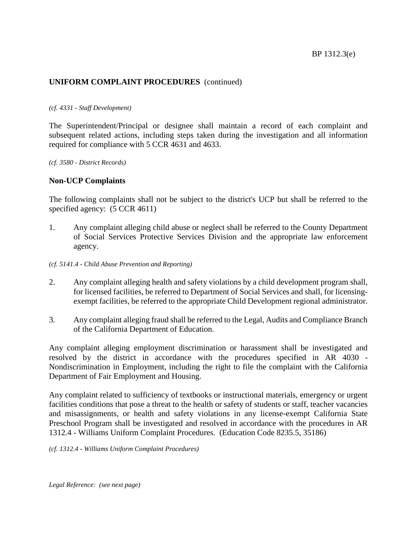#### *(cf. 4331 - Staff Development)*

The Superintendent/Principal or designee shall maintain a record of each complaint and subsequent related actions, including steps taken during the investigation and all information required for compliance with 5 CCR 4631 and 4633.

*(cf. 3580 - District Records)*

#### **Non-UCP Complaints**

The following complaints shall not be subject to the district's UCP but shall be referred to the specified agency:  $(5$  CCR 4611)

1. Any complaint alleging child abuse or neglect shall be referred to the County Department of Social Services Protective Services Division and the appropriate law enforcement agency.

#### *(cf. 5141.4 - Child Abuse Prevention and Reporting)*

- 2. Any complaint alleging health and safety violations by a child development program shall, for licensed facilities, be referred to Department of Social Services and shall, for licensingexempt facilities, be referred to the appropriate Child Development regional administrator.
- 3. Any complaint alleging fraud shall be referred to the Legal, Audits and Compliance Branch of the California Department of Education.

Any complaint alleging employment discrimination or harassment shall be investigated and resolved by the district in accordance with the procedures specified in AR 4030 - Nondiscrimination in Employment, including the right to file the complaint with the California Department of Fair Employment and Housing.

Any complaint related to sufficiency of textbooks or instructional materials, emergency or urgent facilities conditions that pose a threat to the health or safety of students or staff, teacher vacancies and misassignments, or health and safety violations in any license-exempt California State Preschool Program shall be investigated and resolved in accordance with the procedures in AR 1312.4 - Williams Uniform Complaint Procedures. (Education Code 8235.5, 35186)

*(cf. 1312.4 - Williams Uniform Complaint Procedures)*

*Legal Reference: (see next page)*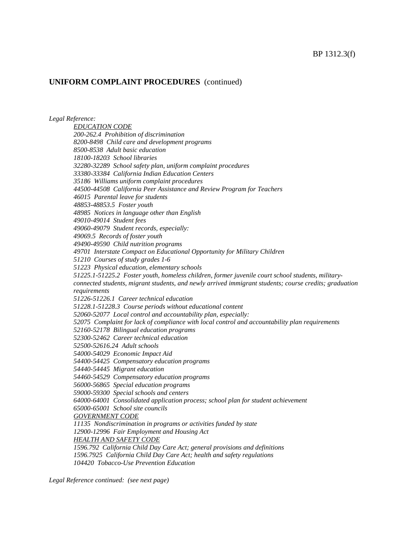*Legal Reference:*

*EDUCATION CODE 200-262.4 Prohibition of discrimination 8200-8498 Child care and development programs 8500-8538 Adult basic education 18100-18203 School libraries 32280-32289 School safety plan, uniform complaint procedures 33380-33384 California Indian Education Centers 35186 Williams uniform complaint procedures 44500-44508 California Peer Assistance and Review Program for Teachers 46015 Parental leave for students 48853-48853.5 Foster youth 48985 Notices in language other than English 49010-49014 Student fees 49060-49079 Student records, especially: 49069.5 Records of foster youth 49490-49590 Child nutrition programs 49701 Interstate Compact on Educational Opportunity for Military Children 51210 Courses of study grades 1-6 51223 Physical education, elementary schools 51225.1-51225.2 Foster youth, homeless children, former juvenile court school students, militaryconnected students, migrant students, and newly arrived immigrant students; course credits; graduation requirements 51226-51226.1 Career technical education 51228.1-51228.3 Course periods without educational content 52060-52077 Local control and accountability plan, especially: 52075 Complaint for lack of compliance with local control and accountability plan requirements 52160-52178 Bilingual education programs 52300-52462 Career technical education 52500-52616.24 Adult schools 54000-54029 Economic Impact Aid 54400-54425 Compensatory education programs 54440-54445 Migrant education 54460-54529 Compensatory education programs 56000-56865 Special education programs 59000-59300 Special schools and centers 64000-64001 Consolidated application process; school plan for student achievement 65000-65001 School site councils GOVERNMENT CODE 11135 Nondiscrimination in programs or activities funded by state 12900-12996 Fair Employment and Housing Act HEALTH AND SAFETY CODE 1596.792 California Child Day Care Act; general provisions and definitions 1596.7925 California Child Day Care Act; health and safety regulations 104420 Tobacco-Use Prevention Education*

*Legal Reference continued: (see next page)*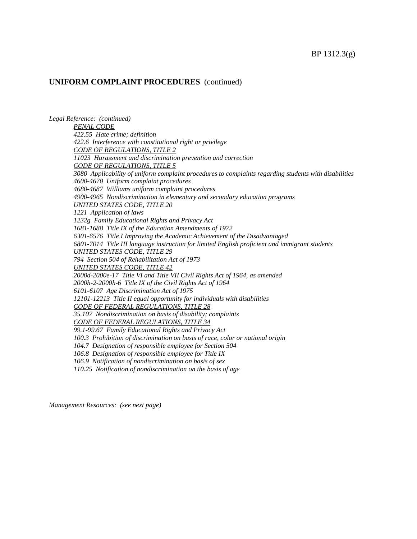*Legal Reference: (continued) PENAL CODE 422.55 Hate crime; definition 422.6 Interference with constitutional right or privilege CODE OF REGULATIONS, TITLE 2 11023 Harassment and discrimination prevention and correction CODE OF REGULATIONS, TITLE 5 3080 Applicability of uniform complaint procedures to complaints regarding students with disabilities 4600-4670 Uniform complaint procedures 4680-4687 Williams uniform complaint procedures 4900-4965 Nondiscrimination in elementary and secondary education programs UNITED STATES CODE, TITLE 20 1221 Application of laws 1232g Family Educational Rights and Privacy Act 1681-1688 Title IX of the Education Amendments of 1972 6301-6576 Title I Improving the Academic Achievement of the Disadvantaged 6801-7014 Title III language instruction for limited English proficient and immigrant students UNITED STATES CODE, TITLE 29 794 Section 504 of Rehabilitation Act of 1973 UNITED STATES CODE, TITLE 42 2000d-2000e-17 Title VI and Title VII Civil Rights Act of 1964, as amended 2000h-2-2000h-6 Title IX of the Civil Rights Act of 1964 6101-6107 Age Discrimination Act of 1975 12101-12213 Title II equal opportunity for individuals with disabilities CODE OF FEDERAL REGULATIONS, TITLE 28 35.107 Nondiscrimination on basis of disability; complaints CODE OF FEDERAL REGULATIONS, TITLE 34 99.1-99.67 Family Educational Rights and Privacy Act 100.3 Prohibition of discrimination on basis of race, color or national origin 104.7 Designation of responsible employee for Section 504 106.8 Designation of responsible employee for Title IX 106.9 Notification of nondiscrimination on basis of sex 110.25 Notification of nondiscrimination on the basis of age*

*Management Resources: (see next page)*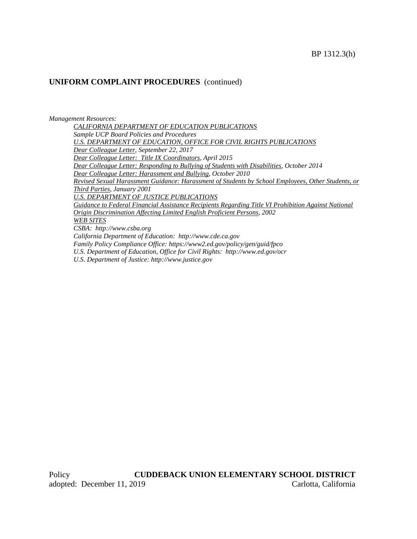*Management Resources: CALIFORNIA DEPARTMENT OF EDUCATION PUBLICATIONS Sample UCP Board Policies and Procedures U.S. DEPARTMENT OF EDUCATION, OFFICE FOR CIVIL RIGHTS PUBLICATIONS Dear Colleague Letter, September 22, 2017 Dear Colleague Letter: Title IX Coordinators, April 2015 Dear Colleague Letter: Responding to Bullying of Students with Disabilities, October 2014 Dear Colleague Letter: Harassment and Bullying, October 2010 Revised Sexual Harassment Guidance: Harassment of Students by School Employees, Other Students, or Third Parties, January 2001 U.S. DEPARTMENT OF JUSTICE PUBLICATIONS Guidance to Federal Financial Assistance Recipients Regarding Title VI Prohibition Against National Origin Discrimination Affecting Limited English Proficient Persons, 2002 WEB SITES CSBA: http://www.csba.org California Department of Education: http://www.cde.ca.gov Family Policy Compliance Office: https://www2.ed.gov/policy/gen/guid/fpco U.S. Department of Education, Office for Civil Rights: http://www.ed.gov/ocr U.S. Department of Justice: http://www.justice.gov*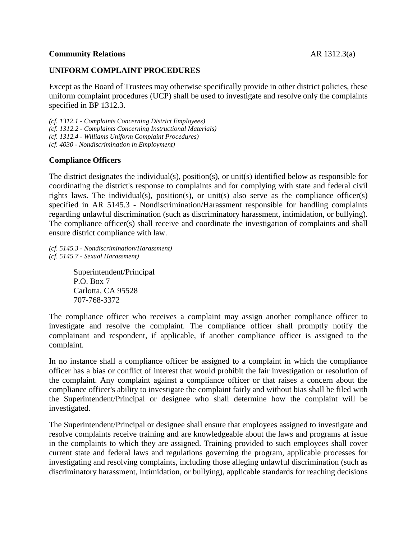#### **Community Relations** AR 1312.3(a)

#### **UNIFORM COMPLAINT PROCEDURES**

Except as the Board of Trustees may otherwise specifically provide in other district policies, these uniform complaint procedures (UCP) shall be used to investigate and resolve only the complaints specified in BP 1312.3.

*(cf. 1312.1 - Complaints Concerning District Employees) (cf. 1312.2 - Complaints Concerning Instructional Materials) (cf. 1312.4 - Williams Uniform Complaint Procedures) (cf. 4030 - Nondiscrimination in Employment)*

#### **Compliance Officers**

The district designates the individual(s), position(s), or unit(s) identified below as responsible for coordinating the district's response to complaints and for complying with state and federal civil rights laws. The individual(s), position(s), or unit(s) also serve as the compliance officer(s) specified in AR 5145.3 - Nondiscrimination/Harassment responsible for handling complaints regarding unlawful discrimination (such as discriminatory harassment, intimidation, or bullying). The compliance officer(s) shall receive and coordinate the investigation of complaints and shall ensure district compliance with law.

*(cf. 5145.3 - Nondiscrimination/Harassment) (cf. 5145.7 - Sexual Harassment)*

> Superintendent/Principal P.O. Box 7 Carlotta, CA 95528 707-768-3372

The compliance officer who receives a complaint may assign another compliance officer to investigate and resolve the complaint. The compliance officer shall promptly notify the complainant and respondent, if applicable, if another compliance officer is assigned to the complaint.

In no instance shall a compliance officer be assigned to a complaint in which the compliance officer has a bias or conflict of interest that would prohibit the fair investigation or resolution of the complaint. Any complaint against a compliance officer or that raises a concern about the compliance officer's ability to investigate the complaint fairly and without bias shall be filed with the Superintendent/Principal or designee who shall determine how the complaint will be investigated.

The Superintendent/Principal or designee shall ensure that employees assigned to investigate and resolve complaints receive training and are knowledgeable about the laws and programs at issue in the complaints to which they are assigned. Training provided to such employees shall cover current state and federal laws and regulations governing the program, applicable processes for investigating and resolving complaints, including those alleging unlawful discrimination (such as discriminatory harassment, intimidation, or bullying), applicable standards for reaching decisions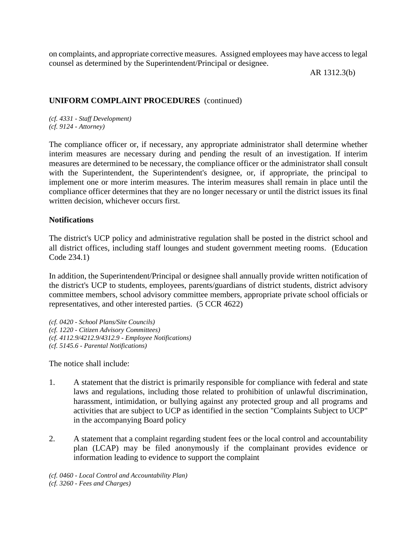on complaints, and appropriate corrective measures. Assigned employees may have access to legal counsel as determined by the Superintendent/Principal or designee.

AR 1312.3(b)

### **UNIFORM COMPLAINT PROCEDURES** (continued)

*(cf. 4331 - Staff Development) (cf. 9124 - Attorney)*

The compliance officer or, if necessary, any appropriate administrator shall determine whether interim measures are necessary during and pending the result of an investigation. If interim measures are determined to be necessary, the compliance officer or the administrator shall consult with the Superintendent, the Superintendent's designee, or, if appropriate, the principal to implement one or more interim measures. The interim measures shall remain in place until the compliance officer determines that they are no longer necessary or until the district issues its final written decision, whichever occurs first.

### **Notifications**

The district's UCP policy and administrative regulation shall be posted in the district school and all district offices, including staff lounges and student government meeting rooms. (Education Code 234.1)

In addition, the Superintendent/Principal or designee shall annually provide written notification of the district's UCP to students, employees, parents/guardians of district students, district advisory committee members, school advisory committee members, appropriate private school officials or representatives, and other interested parties. (5 CCR 4622)

*(cf. 0420 - School Plans/Site Councils) (cf. 1220 - Citizen Advisory Committees) (cf. 4112.9/4212.9/4312.9 - Employee Notifications) (cf. 5145.6 - Parental Notifications)*

The notice shall include:

- 1. A statement that the district is primarily responsible for compliance with federal and state laws and regulations, including those related to prohibition of unlawful discrimination, harassment, intimidation, or bullying against any protected group and all programs and activities that are subject to UCP as identified in the section "Complaints Subject to UCP" in the accompanying Board policy
- 2. A statement that a complaint regarding student fees or the local control and accountability plan (LCAP) may be filed anonymously if the complainant provides evidence or information leading to evidence to support the complaint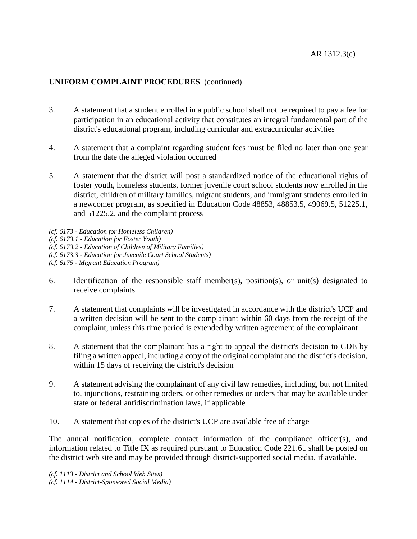- 3. A statement that a student enrolled in a public school shall not be required to pay a fee for participation in an educational activity that constitutes an integral fundamental part of the district's educational program, including curricular and extracurricular activities
- 4. A statement that a complaint regarding student fees must be filed no later than one year from the date the alleged violation occurred
- 5. A statement that the district will post a standardized notice of the educational rights of foster youth, homeless students, former juvenile court school students now enrolled in the district, children of military families, migrant students, and immigrant students enrolled in a newcomer program, as specified in Education Code 48853, 48853.5, 49069.5, 51225.1, and 51225.2, and the complaint process
- *(cf. 6173 - Education for Homeless Children)*
- *(cf. 6173.1 - Education for Foster Youth)*
- *(cf. 6173.2 - Education of Children of Military Families)*
- *(cf. 6173.3 - Education for Juvenile Court School Students)*
- *(cf. 6175 - Migrant Education Program)*
- 6. Identification of the responsible staff member(s), position(s), or unit(s) designated to receive complaints
- 7. A statement that complaints will be investigated in accordance with the district's UCP and a written decision will be sent to the complainant within 60 days from the receipt of the complaint, unless this time period is extended by written agreement of the complainant
- 8. A statement that the complainant has a right to appeal the district's decision to CDE by filing a written appeal, including a copy of the original complaint and the district's decision, within 15 days of receiving the district's decision
- 9. A statement advising the complainant of any civil law remedies, including, but not limited to, injunctions, restraining orders, or other remedies or orders that may be available under state or federal antidiscrimination laws, if applicable
- 10. A statement that copies of the district's UCP are available free of charge

The annual notification, complete contact information of the compliance officer(s), and information related to Title IX as required pursuant to Education Code 221.61 shall be posted on the district web site and may be provided through district-supported social media, if available.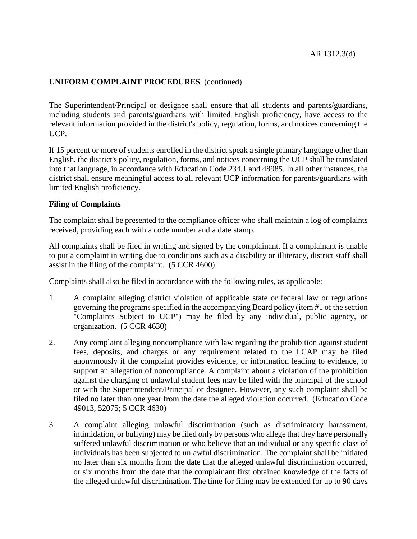The Superintendent/Principal or designee shall ensure that all students and parents/guardians, including students and parents/guardians with limited English proficiency, have access to the relevant information provided in the district's policy, regulation, forms, and notices concerning the UCP.

If 15 percent or more of students enrolled in the district speak a single primary language other than English, the district's policy, regulation, forms, and notices concerning the UCP shall be translated into that language, in accordance with Education Code 234.1 and 48985. In all other instances, the district shall ensure meaningful access to all relevant UCP information for parents/guardians with limited English proficiency.

#### **Filing of Complaints**

The complaint shall be presented to the compliance officer who shall maintain a log of complaints received, providing each with a code number and a date stamp.

All complaints shall be filed in writing and signed by the complainant. If a complainant is unable to put a complaint in writing due to conditions such as a disability or illiteracy, district staff shall assist in the filing of the complaint. (5 CCR 4600)

Complaints shall also be filed in accordance with the following rules, as applicable:

- 1. A complaint alleging district violation of applicable state or federal law or regulations governing the programs specified in the accompanying Board policy (item #1 of the section "Complaints Subject to UCP") may be filed by any individual, public agency, or organization. (5 CCR 4630)
- 2. Any complaint alleging noncompliance with law regarding the prohibition against student fees, deposits, and charges or any requirement related to the LCAP may be filed anonymously if the complaint provides evidence, or information leading to evidence, to support an allegation of noncompliance. A complaint about a violation of the prohibition against the charging of unlawful student fees may be filed with the principal of the school or with the Superintendent/Principal or designee. However, any such complaint shall be filed no later than one year from the date the alleged violation occurred. (Education Code 49013, 52075; 5 CCR 4630)
- 3. A complaint alleging unlawful discrimination (such as discriminatory harassment, intimidation, or bullying) may be filed only by persons who allege that they have personally suffered unlawful discrimination or who believe that an individual or any specific class of individuals has been subjected to unlawful discrimination. The complaint shall be initiated no later than six months from the date that the alleged unlawful discrimination occurred, or six months from the date that the complainant first obtained knowledge of the facts of the alleged unlawful discrimination. The time for filing may be extended for up to 90 days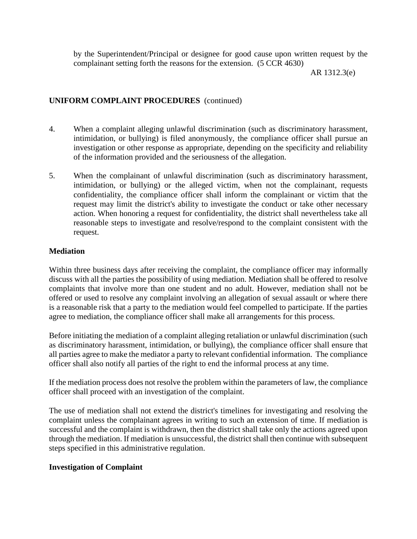by the Superintendent/Principal or designee for good cause upon written request by the complainant setting forth the reasons for the extension. (5 CCR 4630)

AR 1312.3(e)

### **UNIFORM COMPLAINT PROCEDURES** (continued)

- 4. When a complaint alleging unlawful discrimination (such as discriminatory harassment, intimidation, or bullying) is filed anonymously, the compliance officer shall pursue an investigation or other response as appropriate, depending on the specificity and reliability of the information provided and the seriousness of the allegation.
- 5. When the complainant of unlawful discrimination (such as discriminatory harassment, intimidation, or bullying) or the alleged victim, when not the complainant, requests confidentiality, the compliance officer shall inform the complainant or victim that the request may limit the district's ability to investigate the conduct or take other necessary action. When honoring a request for confidentiality, the district shall nevertheless take all reasonable steps to investigate and resolve/respond to the complaint consistent with the request.

### **Mediation**

Within three business days after receiving the complaint, the compliance officer may informally discuss with all the parties the possibility of using mediation. Mediation shall be offered to resolve complaints that involve more than one student and no adult. However, mediation shall not be offered or used to resolve any complaint involving an allegation of sexual assault or where there is a reasonable risk that a party to the mediation would feel compelled to participate. If the parties agree to mediation, the compliance officer shall make all arrangements for this process.

Before initiating the mediation of a complaint alleging retaliation or unlawful discrimination (such as discriminatory harassment, intimidation, or bullying), the compliance officer shall ensure that all parties agree to make the mediator a party to relevant confidential information. The compliance officer shall also notify all parties of the right to end the informal process at any time.

If the mediation process does not resolve the problem within the parameters of law, the compliance officer shall proceed with an investigation of the complaint.

The use of mediation shall not extend the district's timelines for investigating and resolving the complaint unless the complainant agrees in writing to such an extension of time. If mediation is successful and the complaint is withdrawn, then the district shall take only the actions agreed upon through the mediation. If mediation is unsuccessful, the district shall then continue with subsequent steps specified in this administrative regulation.

### **Investigation of Complaint**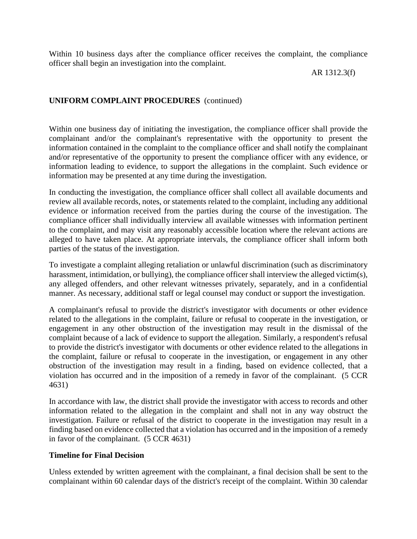Within 10 business days after the compliance officer receives the complaint, the compliance officer shall begin an investigation into the complaint.

AR 1312.3(f)

# **UNIFORM COMPLAINT PROCEDURES** (continued)

Within one business day of initiating the investigation, the compliance officer shall provide the complainant and/or the complainant's representative with the opportunity to present the information contained in the complaint to the compliance officer and shall notify the complainant and/or representative of the opportunity to present the compliance officer with any evidence, or information leading to evidence, to support the allegations in the complaint. Such evidence or information may be presented at any time during the investigation.

In conducting the investigation, the compliance officer shall collect all available documents and review all available records, notes, or statements related to the complaint, including any additional evidence or information received from the parties during the course of the investigation. The compliance officer shall individually interview all available witnesses with information pertinent to the complaint, and may visit any reasonably accessible location where the relevant actions are alleged to have taken place. At appropriate intervals, the compliance officer shall inform both parties of the status of the investigation.

To investigate a complaint alleging retaliation or unlawful discrimination (such as discriminatory harassment, intimidation, or bullying), the compliance officer shall interview the alleged victim(s). any alleged offenders, and other relevant witnesses privately, separately, and in a confidential manner. As necessary, additional staff or legal counsel may conduct or support the investigation.

A complainant's refusal to provide the district's investigator with documents or other evidence related to the allegations in the complaint, failure or refusal to cooperate in the investigation, or engagement in any other obstruction of the investigation may result in the dismissal of the complaint because of a lack of evidence to support the allegation. Similarly, a respondent's refusal to provide the district's investigator with documents or other evidence related to the allegations in the complaint, failure or refusal to cooperate in the investigation, or engagement in any other obstruction of the investigation may result in a finding, based on evidence collected, that a violation has occurred and in the imposition of a remedy in favor of the complainant. (5 CCR 4631)

In accordance with law, the district shall provide the investigator with access to records and other information related to the allegation in the complaint and shall not in any way obstruct the investigation. Failure or refusal of the district to cooperate in the investigation may result in a finding based on evidence collected that a violation has occurred and in the imposition of a remedy in favor of the complainant. (5 CCR 4631)

# **Timeline for Final Decision**

Unless extended by written agreement with the complainant, a final decision shall be sent to the complainant within 60 calendar days of the district's receipt of the complaint. Within 30 calendar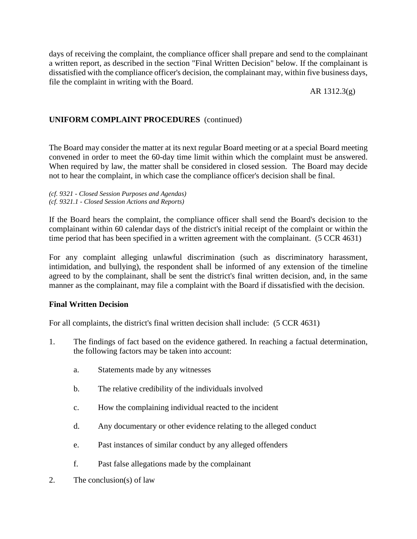days of receiving the complaint, the compliance officer shall prepare and send to the complainant a written report, as described in the section "Final Written Decision" below. If the complainant is dissatisfied with the compliance officer's decision, the complainant may, within five business days, file the complaint in writing with the Board.

AR 1312.3(g)

# **UNIFORM COMPLAINT PROCEDURES** (continued)

The Board may consider the matter at its next regular Board meeting or at a special Board meeting convened in order to meet the 60-day time limit within which the complaint must be answered. When required by law, the matter shall be considered in closed session. The Board may decide not to hear the complaint, in which case the compliance officer's decision shall be final.

*(cf. 9321 - Closed Session Purposes and Agendas) (cf. 9321.1 - Closed Session Actions and Reports)*

If the Board hears the complaint, the compliance officer shall send the Board's decision to the complainant within 60 calendar days of the district's initial receipt of the complaint or within the time period that has been specified in a written agreement with the complainant. (5 CCR 4631)

For any complaint alleging unlawful discrimination (such as discriminatory harassment, intimidation, and bullying), the respondent shall be informed of any extension of the timeline agreed to by the complainant, shall be sent the district's final written decision, and, in the same manner as the complainant, may file a complaint with the Board if dissatisfied with the decision.

### **Final Written Decision**

For all complaints, the district's final written decision shall include: (5 CCR 4631)

- 1. The findings of fact based on the evidence gathered. In reaching a factual determination, the following factors may be taken into account:
	- a. Statements made by any witnesses
	- b. The relative credibility of the individuals involved
	- c. How the complaining individual reacted to the incident
	- d. Any documentary or other evidence relating to the alleged conduct
	- e. Past instances of similar conduct by any alleged offenders
	- f. Past false allegations made by the complainant
- 2. The conclusion(s) of law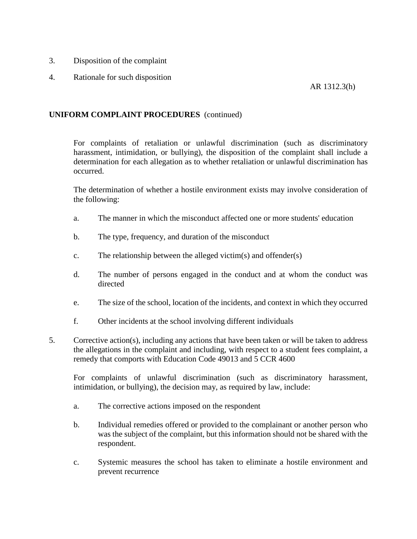- 3. Disposition of the complaint
- 4. Rationale for such disposition

AR 1312.3(h)

### **UNIFORM COMPLAINT PROCEDURES** (continued)

For complaints of retaliation or unlawful discrimination (such as discriminatory harassment, intimidation, or bullying), the disposition of the complaint shall include a determination for each allegation as to whether retaliation or unlawful discrimination has occurred.

The determination of whether a hostile environment exists may involve consideration of the following:

- a. The manner in which the misconduct affected one or more students' education
- b. The type, frequency, and duration of the misconduct
- c. The relationship between the alleged victim(s) and offender(s)
- d. The number of persons engaged in the conduct and at whom the conduct was directed
- e. The size of the school, location of the incidents, and context in which they occurred
- f. Other incidents at the school involving different individuals
- 5. Corrective action(s), including any actions that have been taken or will be taken to address the allegations in the complaint and including, with respect to a student fees complaint, a remedy that comports with Education Code 49013 and 5 CCR 4600

For complaints of unlawful discrimination (such as discriminatory harassment, intimidation, or bullying), the decision may, as required by law, include:

- a. The corrective actions imposed on the respondent
- b. Individual remedies offered or provided to the complainant or another person who was the subject of the complaint, but this information should not be shared with the respondent.
- c. Systemic measures the school has taken to eliminate a hostile environment and prevent recurrence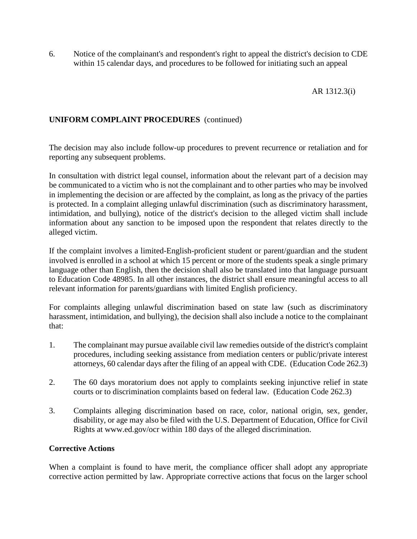6. Notice of the complainant's and respondent's right to appeal the district's decision to CDE within 15 calendar days, and procedures to be followed for initiating such an appeal

AR 1312.3(i)

# **UNIFORM COMPLAINT PROCEDURES** (continued)

The decision may also include follow-up procedures to prevent recurrence or retaliation and for reporting any subsequent problems.

In consultation with district legal counsel, information about the relevant part of a decision may be communicated to a victim who is not the complainant and to other parties who may be involved in implementing the decision or are affected by the complaint, as long as the privacy of the parties is protected. In a complaint alleging unlawful discrimination (such as discriminatory harassment, intimidation, and bullying), notice of the district's decision to the alleged victim shall include information about any sanction to be imposed upon the respondent that relates directly to the alleged victim.

If the complaint involves a limited-English-proficient student or parent/guardian and the student involved is enrolled in a school at which 15 percent or more of the students speak a single primary language other than English, then the decision shall also be translated into that language pursuant to Education Code 48985. In all other instances, the district shall ensure meaningful access to all relevant information for parents/guardians with limited English proficiency.

For complaints alleging unlawful discrimination based on state law (such as discriminatory harassment, intimidation, and bullying), the decision shall also include a notice to the complainant that:

- 1. The complainant may pursue available civil law remedies outside of the district's complaint procedures, including seeking assistance from mediation centers or public/private interest attorneys, 60 calendar days after the filing of an appeal with CDE. (Education Code 262.3)
- 2. The 60 days moratorium does not apply to complaints seeking injunctive relief in state courts or to discrimination complaints based on federal law. (Education Code 262.3)
- 3. Complaints alleging discrimination based on race, color, national origin, sex, gender, disability, or age may also be filed with the U.S. Department of Education, Office for Civil Rights at www.ed.gov/ocr within 180 days of the alleged discrimination.

### **Corrective Actions**

When a complaint is found to have merit, the compliance officer shall adopt any appropriate corrective action permitted by law. Appropriate corrective actions that focus on the larger school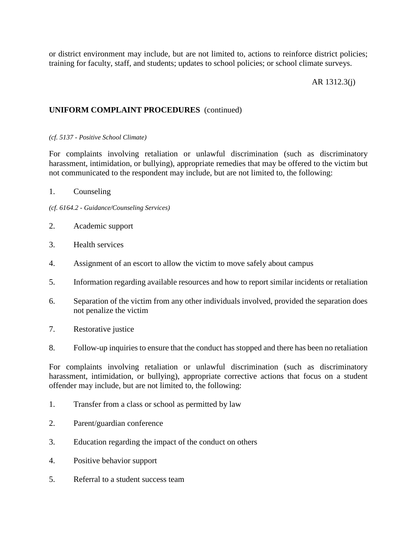or district environment may include, but are not limited to, actions to reinforce district policies; training for faculty, staff, and students; updates to school policies; or school climate surveys.

#### AR 1312.3(j)

#### **UNIFORM COMPLAINT PROCEDURES** (continued)

#### *(cf. 5137 - Positive School Climate)*

For complaints involving retaliation or unlawful discrimination (such as discriminatory harassment, intimidation, or bullying), appropriate remedies that may be offered to the victim but not communicated to the respondent may include, but are not limited to, the following:

- 1. Counseling
- *(cf. 6164.2 - Guidance/Counseling Services)*
- 2. Academic support
- 3. Health services
- 4. Assignment of an escort to allow the victim to move safely about campus
- 5. Information regarding available resources and how to report similar incidents or retaliation
- 6. Separation of the victim from any other individuals involved, provided the separation does not penalize the victim
- 7. Restorative justice
- 8. Follow-up inquiries to ensure that the conduct has stopped and there has been no retaliation

For complaints involving retaliation or unlawful discrimination (such as discriminatory harassment, intimidation, or bullying), appropriate corrective actions that focus on a student offender may include, but are not limited to, the following:

- 1. Transfer from a class or school as permitted by law
- 2. Parent/guardian conference
- 3. Education regarding the impact of the conduct on others
- 4. Positive behavior support
- 5. Referral to a student success team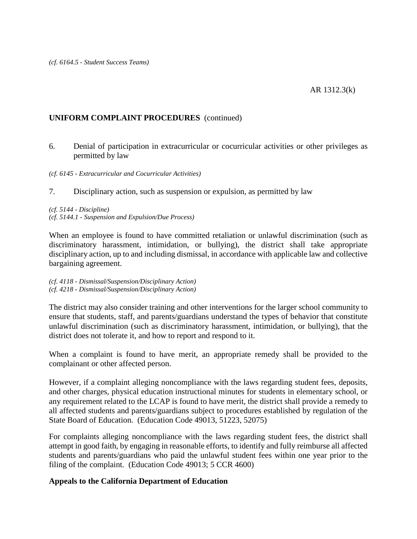6. Denial of participation in extracurricular or cocurricular activities or other privileges as permitted by law

#### *(cf. 6145 - Extracurricular and Cocurricular Activities)*

7. Disciplinary action, such as suspension or expulsion, as permitted by law

# *(cf. 5144 - Discipline) (cf. 5144.1 - Suspension and Expulsion/Due Process)*

When an employee is found to have committed retaliation or unlawful discrimination (such as discriminatory harassment, intimidation, or bullying), the district shall take appropriate disciplinary action, up to and including dismissal, in accordance with applicable law and collective bargaining agreement.

*(cf. 4118 - Dismissal/Suspension/Disciplinary Action) (cf. 4218 - Dismissal/Suspension/Disciplinary Action)*

The district may also consider training and other interventions for the larger school community to ensure that students, staff, and parents/guardians understand the types of behavior that constitute unlawful discrimination (such as discriminatory harassment, intimidation, or bullying), that the district does not tolerate it, and how to report and respond to it.

When a complaint is found to have merit, an appropriate remedy shall be provided to the complainant or other affected person.

However, if a complaint alleging noncompliance with the laws regarding student fees, deposits, and other charges, physical education instructional minutes for students in elementary school, or any requirement related to the LCAP is found to have merit, the district shall provide a remedy to all affected students and parents/guardians subject to procedures established by regulation of the State Board of Education. (Education Code 49013, 51223, 52075)

For complaints alleging noncompliance with the laws regarding student fees, the district shall attempt in good faith, by engaging in reasonable efforts, to identify and fully reimburse all affected students and parents/guardians who paid the unlawful student fees within one year prior to the filing of the complaint. (Education Code 49013; 5 CCR 4600)

### **Appeals to the California Department of Education**